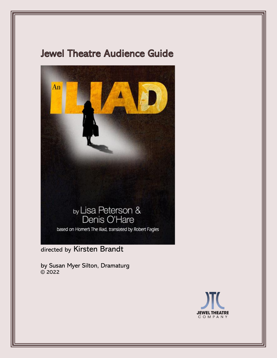# **Jewel Theatre Audience Guide**



directed by Kirsten Brandt

by Susan Myer Silton, Dramaturg  $\overline{\odot}$  2022

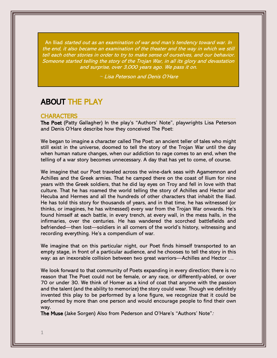An Iliad started out as an examination of war and man's tendency toward war. In the end, it also became an examination of the theater and the way in which we still tell each other stories in order to try to make sense of ourselves, and our behavior. Someone started telling the story of the Trojan War, in all its glory and devastation and surprise, over 3,000 years ago. We pass it on.

<sup>~</sup>Lisa Peterson and Denis O'Hare

## ABOUT THE PLAY

## **CHARACTERS**

The Poet (Patty Gallagher) In the play's "Authors' Note", playwrights Lisa Peterson and Denis O'Hare describe how they conceived The Poet:

We began to imagine a character called The Poet: an ancient teller of tales who might still exist in the universe, doomed to tell the story of the Trojan War until the day when human nature changes, when our addiction to rage comes to an end, when the telling of a war story becomes unnecessary. A day that has yet to come, of course.

We imagine that our Poet traveled across the wine-dark seas with Agamemnon and Achilles and the Greek armies. That he camped there on the coast of Ilium for nine years with the Greek soldiers, that he did lay eyes on Troy and fell in love with that culture. That he has roamed the world telling the story of Achilles and Hector and Hecuba and Hermes and all the hundreds of other characters that inhabit the Iliad. He has told this story for thousands of years, and in that time, he has witnessed (or thinks, or imagines, he has witnessed) every war from the Trojan War onwards. He's found himself at each battle, in every trench, at every wall, in the mess halls, in the infirmaries, over the centuries. He has wandered the scorched battlefields and befriended—then lost—soldiers in all corners of the world's history, witnessing and recording everything. He's a compendium of war.

We imagine that on this particular night, our Poet finds himself transported to an empty stage, in front of a particular audience, and he chooses to tell the story in this way: as an inexorable collision between two great warriors—Achilles and Hector …

We look forward to that community of Poets expanding in every direction; there is no reason that The Poet could not be female, or any race, or differently-abled, or over 70 or under 30. We think of Homer as a kind of coat that anyone with the passion and the talent (and the ability to memorize) the story could wear. Though we definitely invented this play to be performed by a lone figure, we recognize that it could be performed by more than one person and would encourage people to find their own way.

The Muse (Jake Sorgen) Also from Pederson and O'Hare's "Authors' Note":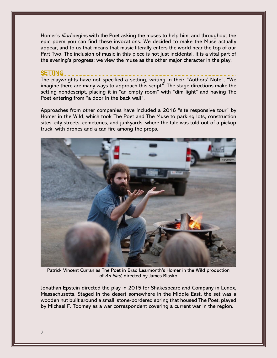Homer's *Iliad* begins with the Poet asking the muses to help him, and throughout the epic poem you can find these invocations. We decided to make the Muse actually appear, and to us that means that music literally enters the world near the top of our Part Two. The inclusion of music in this piece is not just incidental. It is a vital part of the evening's progress; we view the muse as the other major character in the play.

## **SETTING**

The playwrights have not specified a setting, writing in their "Authors' Note", "We imagine there are many ways to approach this script". The stage directions make the setting nondescript, placing it in "an empty room" with "dim light" and having The Poet entering from "a door in the back wall".

Approaches from other companies have included a 2016 "site responsive tour" by Homer in the Wild, which took The Poet and The Muse to parking lots, construction sites, city streets, cemeteries, and junkyards, where the tale was told out of a pickup truck, with drones and a can fire among the props.



Patrick Vincent Curran as The Poet in Brad Learmonth's Homer in the Wild production of An Iliad, directed by James Blasko

Jonathan Epstein directed the play in 2015 for Shakespeare and Company in Lenox, Massachusetts. Staged in the desert somewhere in the Middle East, the set was a wooden hut built around a small, stone-bordered spring that housed The Poet, played by Michael F. Toomey as a war correspondent covering a current war in the region.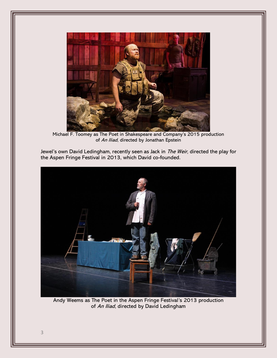

Michael F. Toomey as The Poet in Shakespeare and Company's 2015 production of An Iliad, directed by Jonathan Epstein

Jewel's own David Ledingham, recently seen as Jack in The Weir, directed the play for the Aspen Fringe Festival in 2013, which David co-founded.



Andy Weems as The Poet in the Aspen Fringe Festival's 2013 production of An Iliad, directed by David Ledingham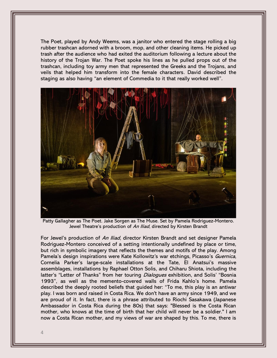The Poet, played by Andy Weems, was a janitor who entered the stage rolling a big rubber trashcan adorned with a broom, mop, and other cleaning items. He picked up trash after the audience who had exited the auditorium following a lecture about the history of the Trojan War. The Poet spoke his lines as he pulled props out of the trashcan, including toy army men that represented the Greeks and the Trojans, and veils that helped him transform into the female characters. David described the staging as also having "an element of Commedia to it that really worked well".



Patty Gallagher as The Poet. Jake Sorgen as The Muse. Set by Pamela Rodriguez-Montero. Jewel Theatre's production of An Iliad, directed by Kirsten Brandt

For Jewel's production of An Iliad, director Kirsten Brandt and set designer Pamela Rodriguez-Montero conceived of a setting intentionally undefined by place or time, but rich in symbolic imagery that reflects the themes and motifs of the play. Among Pamela's design inspirations were Kate Kollowitz's war etchings, Picasso's *Guernica*, Cornelia Parker's large-scale installations at the Tate, El Anatsui's massive assemblages, installations by Raphael Otton Solis, and Chiharu Shiota, including the latter's "Letter of Thanks" from her touring *Dialogues* exhibition, and Solis' "Bosnia 1993", as well as the memento-covered walls of Frida Kahlo's home. Pamela described the deeply rooted beliefs that guided her: "To me, this play is an antiwar play. I was born and raised in Costa Rica. We don't have an army since 1949, and we are proud of it. In fact, there is a phrase attributed to Riochi Sasakawa (Japanese Ambassador in Costa Rica during the 80s) that says: "Blessed is the Costa Rican mother, who knows at the time of birth that her child will never be a soldier." I am now a Costa Rican mother, and my views of war are shaped by this. To me, there is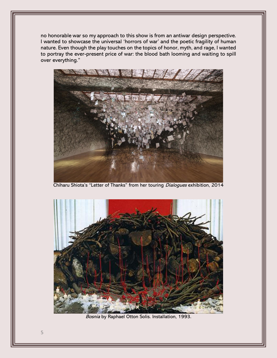no honorable war so my approach to this show is from an antiwar design perspective. I wanted to showcase the universal 'horrors of war' and the poetic fragility of human nature. Even though the play touches on the topics of honor, myth, and rage, I wanted to portray the ever-present price of war: the blood bath looming and waiting to spill over everything."



Chiharu Shiota's "Letter of Thanks" from her touring Dialogues exhibition, 2014



Bosnia by Raphael Otton Solis. Installation, 1993.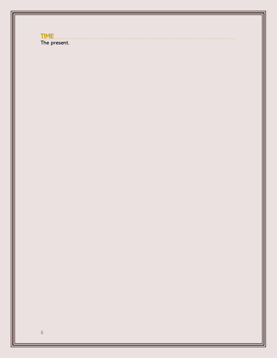## TIME

The present.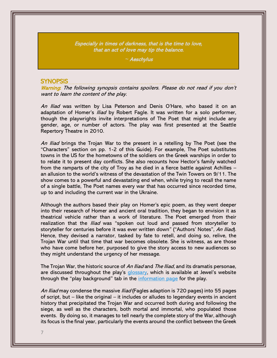Especially in times of darkness, that is the time to love, that an act of love may tip the balance.

 $~\sim$  Aeschylus

### SYNOPSIS

Warning. The following synopsis contains spoilers. Please do not read if you don't want to learn the content of the play.

An Iliad was written by Lisa Peterson and Denis O'Hare, who based it on an adaptation of Homer's *Iliad* by Robert Fagle. It was written for a solo performer, though the playwrights invite interpretations of The Poet that might include any gender, age, or number of actors. The play was first presented at the Seattle Repertory Theatre in 2010.

An Iliad brings the Trojan War to the present in a retelling by The Poet (see the "Characters" section on pp. 1-2 of this Guide). For example, The Poet substitutes towns in the US for the hometowns of the soldiers on the Greek warships in order to to relate it to present day conflicts. She also recounts how Hector's family watched from the ramparts of the city of Troy as he died in a fierce battle against Achilles – an allusion to the world's witness of the devastation of the Twin Towers on 9/11. The show comes to a powerful and devastating end when, while trying to recall the name of a single battle, The Poet names every war that has occurred since recorded time, up to and including the current war in the Ukraine.

Although the authors based their play on Homer's epic poem, as they went deeper into their research of Homer and ancient oral tradition, they began to envision it as theatrical vehicle rather than a work of literature. The Poet emerged from their realization that the *lliad* was "spoken out loud and passed from storyteller to storyteller for centuries before it was ever written down" ("Authors' Notes", An Iliad). Hence, they devised a narrator, tasked by fate to retell, and doing so, relive, the Trojan War until that time that war becomes obsolete. She is witness, as are those who have come before her, purposed to give the story access to new audiences so they might understand the urgency of her message.

The Trojan War, the historic source of *An Iliad* and *The Iliad*, and its dramatis personae, are discussed throughout the play's [glossary](https://www.jeweltheatre.net/wp-content/uploads/2022/05/AN-ILIAD-Glossary.pdf), which is available at Jewel's website through the "play background" tab in the [information page](https://www.jeweltheatre.net/an-iliad/) for the play.

An Iliad may condense the massive Iliad (Fagles adaption is 720 pages) into 55 pages of script, but – like the original – it includes or alludes to legendary events in ancient history that precipitated the Trojan War and occurred both during and following the siege, as well as the characters, both mortal and immortal, who populated those events. By doing so, it manages to tell nearly the complete story of the War, although its focus is the final year, particularly the events around the conflict between the Greek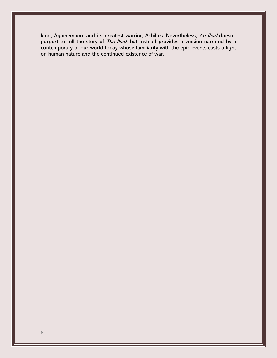king, Agamemnon, and its greatest warrior, Achilles. Nevertheless, An Iliad doesn't purport to tell the story of The Iliad, but instead provides a version narrated by a contemporary of our world today whose familiarity with the epic events casts a light on human nature and the continued existence of war.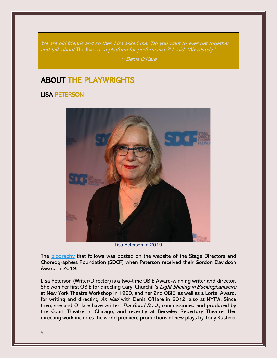We are old friends and so then Lisa asked me, 'Do you want to ever get together and talk about The Iliad as a platform for performance?' I said, 'Absolutely.'

<sup>~</sup>Denis O'Hare

## ABOUT THE PLAYWRIGHTS

## LISA PETERSON



Lisa Peterson in 2019

The **biography** that follows was posted on the website of the Stage Directors and Choreographers Foundation (SDCF) when Peterson received their Gordon Davidson Award in 2019.

Lisa Peterson (Writer/Director) is a two-time OBIE Award-winning writer and director. She won her first OBIE for directing Caryl Churchill's Light Shining in Buckinghamshire at New York Theatre Workshop in 1990, and her 2nd OBIE, as well as a Lortel Award, for writing and directing An Iliad with Denis O'Hare in 2012, also at NYTW. Since then, she and O'Hare have written *The Good Book*, commissioned and produced by the Court Theatre in Chicago, and recently at Berkeley Repertory Theatre. Her directing work includes the world premiere productions of new plays by Tony Kushner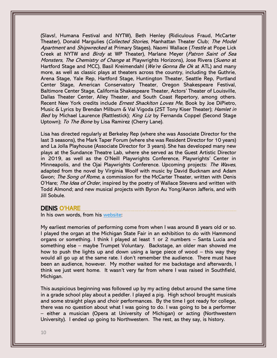(Slavs!, Humana Festival and NYTW), Beth Henley (Ridiculous Fraud, McCarter Theater), Donald Margulies (*Collected Stories*, Manhattan Theater Club; *The Model* Apartment and Shipwrecked at Primary Stages), Naomi Wallace (Trestle at Pope Lick Creek at NYTW and *Birdy* at WP Theater), Marlane Meyer (Patron Saint of Sea Monsters, The Chemistry of Change at Playwrights Horizons), Jose Rivera (Sueno at Hartford Stage and MCC), Basil Kreimendahl (We're Gonna Be Ok at ATL) and many more, as well as classic plays at theaters across the country, including the Guthrie, Arena Stage, Yale Rep, Hartford Stage, Huntington Theater, Seattle Rep, Portland Center Stage, American Conservatory Theater, Oregon Shakespeare Festival, Baltimore Center Stage, California Shakespeare Theater, Actors' Theater of Louisville, Dallas Theater Center, Alley Theater, and South Coast Repertory, among others. Recent New York credits include *Ernest Shacklton Loves Me*, Book by Joe DiPietro, Music & Lyrics by Brendan Milburn & Val Vigoda (2ST Tony Kiser Theater); Hamlet in Bed by Michael Laurence (Rattlestick); King Liz by Fernanda Coppel (Second Stage Uptown); To The Bone by Lisa Ramirez (Cherry Lane).

Lisa has directed regularly at Berkeley Rep (where she was Associate Director for the last 3 seasons), the Mark Taper Forum (where she was Resident Director for 10 years) and La Jolla Playhouse (Associate Director for 3 years). She has developed many new plays at the Sundance Theatre Lab, where she served as the Guest Artistic Director in 2019, as well as the O'Neill Playwrights Conference, Playwrights' Center in Minneapolis, and the Ojai Playwrights Conference. Upcoming projects: The Waves, adapted from the novel by Virginia Woolf with music by David Bucknam and Adam Gwon; *The Song of Rome*, a commission for the McCarter Theater, written with Denis O'Hare; *The Idea of Order*, inspired by the poetry of Wallace Stevens and written with Todd Almond; and new musical projects with Byron Au Yong/Aaron Jafferis, and with Jill Sobule.

## DENIS O'HARE

In his own words, from his [website:](https://www.denisohare.com/)

My earliest memories of performing come from when I was around 8 years old or so. I played the organ at the Michigan State Fair in an exhibition to do with Hammond organs or something. I think I played at least 1 or 2 numbers – Santa Lucia and something else – maybe Trumpet Voluntary. Backstage, an older man showed me how to push the lights up and down using a large piece of wood – this way they would all go up at the same rate. I don't remember the audience. There must have been an audience, however. My mother waited for me backstage and afterwards, I think we just went home. It wasn't very far from where I was raised in Southfield, Michigan.

This auspicious beginning was followed up by my acting debut around the same time in a grade school play about a peddler. I played a pig. High school brought musicals and some straight plays and choir performances. By the time I got ready for college, there was no question about what I was going to do. I was going to be a performer – either a musician (Opera at University of Michigan) or acting (Northwestern University). I ended up going to Northwestern. The rest, as they say, is history.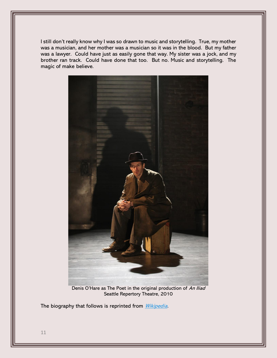I still don't really know why I was so drawn to music and storytelling. True, my mother was a musician, and her mother was a musician so it was in the blood. But my father was a lawyer. Could have just as easily gone that way. My sister was a jock, and my brother ran track. Could have done that too. But no. Music and storytelling. The magic of make believe.



Denis O'Hare as The Poet in the original production of An Iliad Seattle Repertory Theatre, 2010

The biography that follows is reprinted from *Wikipedia*.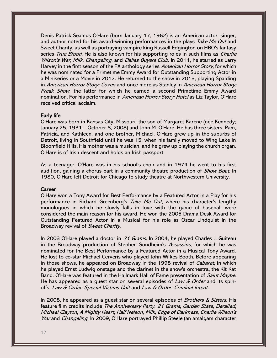Denis Patrick Seamus O'Hare (born January 17, 1962) is an American actor, singer, and author noted for his award-winning performances in the plays Take Me Out and Sweet Charity, as well as portraying vampire king Russell Edgington on HBO's fantasy series True Blood. He is also known for his supporting roles in such films as *Charlie* Wilson's War, Milk, Changeling, and Dallas Buyers Club. In 2011, he starred as Larry Harvey in the first season of the FX anthology series *American Horror Story*, for which he was nominated for a Primetime Emmy Award for Outstanding Supporting Actor in a Miniseries or a Movie in 2012. He returned to the show in 2013, playing Spalding in American Horror Story: Coven and once more as Stanley in American Horror Story: Freak Show, the latter for which he earned a second Primetime Emmy Award nomination. For his performance in American Horror Story: Hotel as Liz Taylor, O'Hare received critical acclaim.

### Early life

O'Hare was born in Kansas City, Missouri, the son of Margaret Karene (née Kennedy; January 25, 1931 – October 8, 2008) and John M. O'Hare. He has three sisters, Pam, Patricia, and Kathleen, and one brother, Michael. O'Hare grew up in the suburbs of Detroit, living in Southfield until he was 15, when his family moved to Wing Lake in Bloomfield Hills. His mother was a musician, and he grew up playing the church organ. O'Hare is of Irish descent and holds an Irish passport.

As a teenager, O'Hare was in his school's choir and in 1974 he went to his first audition, gaining a chorus part in a community theatre production of *Show Boat*. In 1980, O'Hare left Detroit for Chicago to study theatre at Northwestern University.

#### Career

O'Hare won a Tony Award for Best Performance by a Featured Actor in a Play for his performance in Richard Greenberg's Take Me Out, where his character's lengthy monologues in which he slowly falls in love with the game of baseball were considered the main reason for his award. He won the 2005 Drama Desk Award for Outstanding Featured Actor in a Musical for his role as Oscar Lindquist in the Broadway revival of Sweet Charity.

In 2003 O'Hare played a doctor in 21 Grams. In 2004, he played Charles J. Guiteau in the Broadway production of Stephen Sondheim's Assassins, for which he was nominated for the Best Performance by a Featured Actor in a Musical Tony Award. He lost to co-star Michael Cerveris who played John Wilkes Booth. Before appearing in those shows, he appeared on Broadway in the 1998 revival of *Cabaret*, in which he played Ernst Ludwig onstage and the clarinet in the show's orchestra, the Kit Kat Band. O'Hare was featured in the Hallmark Hall of Fame presentation of Saint Maybe. He has appeared as a quest star on several episodes of *Law & Order* and its spinoffs, Law & Order: Special Victims Unit and Law & Order: Criminal Intent.

In 2008, he appeared as a guest star on several episodes of Brothers  $\&$  Sisters. His feature film credits include *The Anniversary Party, 21 Grams, Garden State, Derailed,* Michael Clayton, A Mighty Heart, Half Nelson, Milk, Edge of Darkness, Charlie Wilson's War and Changeling. In 2009, O'Hare portrayed Phillip Steele (an amalgam character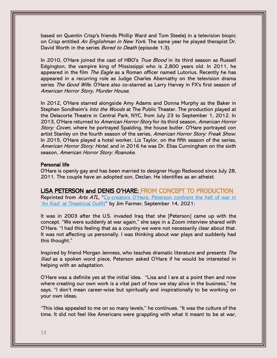based on Quentin Crisp's friends Phillip Ward and Tom Steele) in a television biopic on Crisp entitled An Englishman in New York. The same year he played therapist Dr. David Worth in the series *Bored to Death* (episode 1.3).

In 2010, O'Hare joined the cast of HBO's *True Blood* in its third season as Russell Edgington, the vampire king of Mississippi who is 2,800 years old. In 2011, he appeared in the film *The Eagle* as a Roman officer named Lutorius. Recently he has appeared in a recurring role as Judge Charles Abernathy on the television drama series The Good Wife. O'Hare also co-starred as Larry Harvey in FX's first season of American Horror Story, Murder House.

In 2012, O'Hare starred alongside Amy Adams and Donna Murphy as the Baker in Stephen Sondheim's *Into the Woods* at The Public Theater. The production played at the Delacorte Theatre in Central Park, NYC, from July 23 to September 1, 2012. In 2013, O'Hare returned to American Horror Story for its third season, American Horror Story: Coven, where he portrayed Spalding, the house butler. O'Hare portrayed con artist Stanley on the fourth season of the series, American Horror Story: Freak Show. In 2015, O'Hare played a hotel worker, Liz Taylor, on the fifth season of the series, American Horror Story: Hotel, and in 2016 he was Dr. Elias Cunningham on the sixth season, American Horror Story: Roanoke.

## Personal life

O'Hare is openly gay and has been married to designer Hugo Redwood since July 28, 2011. The couple have an adopted son, Declan. He identifies as an atheist.

LISA PETERSON and DENIS O'HARE: FROM CONCEPT TO PRODUCTION

Reprinted from Arts ATL, "Co-creators O'Hare, Peterson confront the hell of war in ['An Iliad' at Theatrical Outfit"](https://www.artsatl.org/co-creators-ohare-peterson-confront-the-hell-of-war-in-an-iliad-at-theatrical-outfit/) by Jim Farmer, September 14, 2021:

It was in 2003 after the U.S. invaded Iraq that she [Peterson] came up with the concept. "We were suddenly at war again," she says in a Zoom interview shared with O'Hare. "I had this feeling that as a country we were not necessarily clear about that. It was not affecting us personally. I was thinking about war plays and suddenly had this thought."

Inspired by friend Morgan Jenness, who teaches dramatic literature and presents The *Iliad* as a spoken word piece, Peterson asked O'Hare if he would be interested in helping with an adaptation.

O'Hare was a definite yes at the initial idea. "Lisa and I are at a point then and now where creating our own work is a vital part of how we stay alive in the business," he says. "I don't mean career-wise but spiritually and inspirationally to be working on your own ideas.

"This idea appealed to me on so many levels," he continues. "It was the culture of the time. It did not feel like Americans were grappling with what it meant to be at war,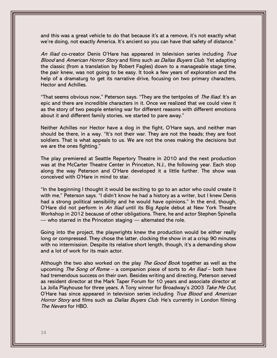and this was a great vehicle to do that because it's at a remove, it's not exactly what we're doing, not exactly America. It's ancient so you can have that safety of distance."

An Iliad co-creator Denis O'Hare has appeared in television series including True Blood and American Horror Story and films such as Dallas Buyers Club. Yet adapting the classic (from a translation by Robert Fagles) down to a manageable stage time, the pair knew, was not going to be easy. It took a few years of exploration and the help of a dramaturg to get its narrative drive, focusing on two primary characters, Hector and Achilles.

"That seems obvious now," Peterson says. "They are the tentpoles of The Iliad. It's an epic and there are incredible characters in it. Once we realized that we could view it as the story of two people entering war for different reasons with different emotions about it and different family stories, we started to pare away."

Neither Achilles nor Hector have a dog in the fight, O'Hare says, and neither man should be there, in a way. "It's not their war. They are not the heads; they are foot soldiers. That is what appeals to us. We are not the ones making the decisions but we are the ones fighting."

The play premiered at Seattle Repertory Theatre in 2010 and the next production was at the McCarter Theatre Center in Princeton, N.J., the following year. Each stop along the way Peterson and O'Hare developed it a little further. The show was conceived with O'Hare in mind to star.

"In the beginning I thought it would be exciting to go to an actor who could create it with me," Peterson says. "I didn't know he had a history as a writer, but I knew Denis had a strong political sensibility and he would have opinions." In the end, though, O'Hare did not perform in An Iliad until its Big Apple debut at New York Theatre Workshop in 2012 because of other obligations. There, he and actor Stephen Spinella — who starred in the Princeton staging — alternated the role.

Going into the project, the playwrights knew the production would be either really long or compressed. They chose the latter, clocking the show in at a crisp 90 minutes with no intermission. Despite its relative short length, though, it's a demanding show and a lot of work for its main actor.

Although the two also worked on the play *The Good Book* together as well as the upcoming The Song of Rome – a companion piece of sorts to An Iliad – both have had tremendous success on their own. Besides writing and directing, Peterson served as resident director at the Mark Taper Forum for 10 years and associate director at La Jolla Playhouse for three years. A Tony winner for Broadway's 2003 *Take Me Out*, O'Hare has since appeared in television series including True Blood and American Horror Story and films such as *Dallas Buyers Club*. He's currently in London filming The Nevers for HBO.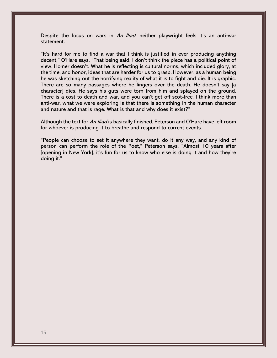Despite the focus on wars in An Iliad, neither playwright feels it's an anti-war statement.

"It's hard for me to find a war that I think is justified in ever producing anything decent," O'Hare says. "That being said, I don't think the piece has a political point of view. Homer doesn't. What he is reflecting is cultural norms, which included glory, at the time, and honor, ideas that are harder for us to grasp. However, as a human being he was sketching out the horrifying reality of what it is to fight and die. It is graphic. There are so many passages where he lingers over the death. He doesn't say [a character] dies. He says his guts were torn from him and splayed on the ground. There is a cost to death and war, and you can't get off scot-free. I think more than anti-war, what we were exploring is that there is something in the human character and nature and that is rage. What is that and why does it exist?"

Although the text for An Iliad is basically finished, Peterson and O'Hare have left room for whoever is producing it to breathe and respond to current events.

"People can choose to set it anywhere they want, do it any way, and any kind of person can perform the role of the Poet," Peterson says. "Almost 10 years after [opening in New York], it's fun for us to know who else is doing it and how they're doing it."